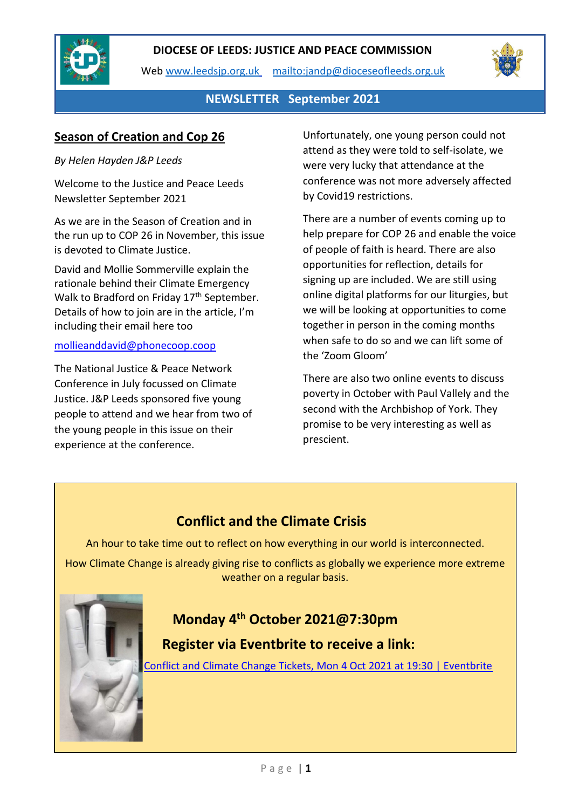

Web [www.leedsjp.org.uk](http://www.leedsjp.org.uk/) <mailto:jandp@dioceseofleeds.org.uk>



## **NEWSLETTER September 2021**

## **Season of Creation and Cop 26**

#### *By Helen Hayden J&P Leeds*

Welcome to the Justice and Peace Leeds Newsletter September 2021

As we are in the Season of Creation and in the run up to COP 26 in November, this issue is devoted to Climate Justice.

David and Mollie Sommerville explain the rationale behind their Climate Emergency Walk to Bradford on Friday 17<sup>th</sup> September. Details of how to join are in the article, I'm including their email here too

#### mollieanddavid@phonecoop.coop

The National Justice & Peace Network Conference in July focussed on Climate Justice. J&P Leeds sponsored five young people to attend and we hear from two of the young people in this issue on their experience at the conference.

Unfortunately, one young person could not attend as they were told to self-isolate, we were very lucky that attendance at the conference was not more adversely affected by Covid19 restrictions.

There are a number of events coming up to help prepare for COP 26 and enable the voice of people of faith is heard. There are also opportunities for reflection, details for signing up are included. We are still using online digital platforms for our liturgies, but we will be looking at opportunities to come together in person in the coming months when safe to do so and we can lift some of the 'Zoom Gloom'

There are also two online events to discuss poverty in October with Paul Vallely and the second with the Archbishop of York. They promise to be very interesting as well as prescient.

# **Conflict and the Climate Crisis**

An hour to take time out to reflect on how everything in our world is interconnected.

How Climate Change is already giving rise to conflicts as globally we experience more extreme weather on a regular basis.

# **Monday 4th October 2021@7:30pm**

## **Register via Eventbrite to receive a link:**

[Conflict and Climate Change Tickets, Mon 4 Oct 2021 at 19:30 | Eventbrite](https://www.eventbrite.co.uk/e/conflict-and-climate-change-tickets-165033135551)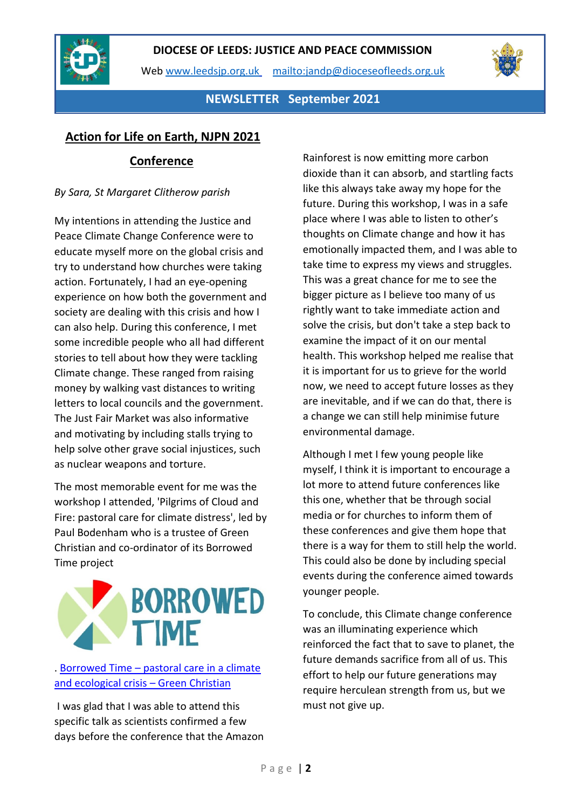

Web [www.leedsjp.org.uk](http://www.leedsjp.org.uk/) <mailto:jandp@dioceseofleeds.org.uk>



**NEWSLETTER September 2021**

## **Action for Life on Earth, NJPN 2021**

## **Conference**

## *By Sara, St Margaret Clitherow parish*

My intentions in attending the Justice and Peace Climate Change Conference were to educate myself more on the global crisis and try to understand how churches were taking action. Fortunately, I had an eye-opening experience on how both the government and society are dealing with this crisis and how I can also help. During this conference, I met some incredible people who all had different stories to tell about how they were tackling Climate change. These ranged from raising money by walking vast distances to writing letters to local councils and the government. The Just Fair Market was also informative and motivating by including stalls trying to help solve other grave social injustices, such as nuclear weapons and torture.

The most memorable event for me was the workshop I attended, 'Pilgrims of Cloud and Fire: pastoral care for climate distress', led by Paul Bodenham who is a trustee of Green Christian and co-ordinator of its Borrowed Time project



## . Borrowed Time – [pastoral care in a climate](https://greenchristian.org.uk/borrowed-time-building-pastoral-care-in-the-climate-emergency/#:~:text=Borrowed%20Time%20%E2%80%93%20pastoral%20care%20in%20a%20climate,for%20a%20journey%20through%20climate%20grief%20and%20eco-anxiety.)  [and ecological crisis](https://greenchristian.org.uk/borrowed-time-building-pastoral-care-in-the-climate-emergency/#:~:text=Borrowed%20Time%20%E2%80%93%20pastoral%20care%20in%20a%20climate,for%20a%20journey%20through%20climate%20grief%20and%20eco-anxiety.) – Green Christian

I was glad that I was able to attend this specific talk as scientists confirmed a few days before the conference that the Amazon Rainforest is now emitting more carbon dioxide than it can absorb, and startling facts like this always take away my hope for the future. During this workshop, I was in a safe place where I was able to listen to other's thoughts on Climate change and how it has emotionally impacted them, and I was able to take time to express my views and struggles. This was a great chance for me to see the bigger picture as I believe too many of us rightly want to take immediate action and solve the crisis, but don't take a step back to examine the impact of it on our mental health. This workshop helped me realise that it is important for us to grieve for the world now, we need to accept future losses as they are inevitable, and if we can do that, there is a change we can still help minimise future environmental damage.

Although I met I few young people like myself, I think it is important to encourage a lot more to attend future conferences like this one, whether that be through social media or for churches to inform them of these conferences and give them hope that there is a way for them to still help the world. This could also be done by including special events during the conference aimed towards younger people.

To conclude, this Climate change conference was an illuminating experience which reinforced the fact that to save to planet, the future demands sacrifice from all of us. This effort to help our future generations may require herculean strength from us, but we must not give up.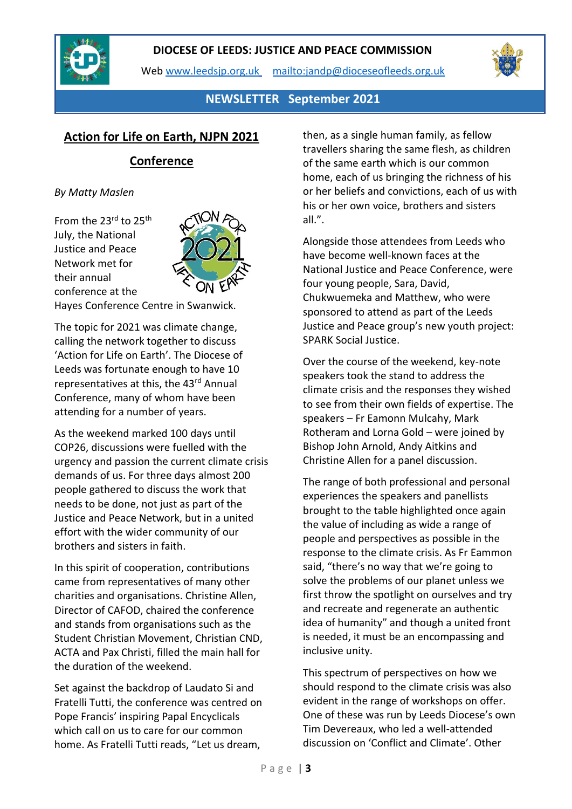

Web [www.leedsjp.org.uk](http://www.leedsjp.org.uk/) <mailto:jandp@dioceseofleeds.org.uk>



## **NEWSLETTER September 2021**

## **Action for Life on Earth, NJPN 2021**

## **Conference**

#### *By Matty Maslen*

From the 23rd to 25<sup>th</sup> July, the National Justice and Peace Network met for their annual conference at the



Hayes Conference Centre in Swanwick.

The topic for 2021 was climate change, calling the network together to discuss 'Action for Life on Earth'. The Diocese of Leeds was fortunate enough to have 10 representatives at this, the 43rd Annual Conference, many of whom have been attending for a number of years.

As the weekend marked 100 days until COP26, discussions were fuelled with the urgency and passion the current climate crisis demands of us. For three days almost 200 people gathered to discuss the work that needs to be done, not just as part of the Justice and Peace Network, but in a united effort with the wider community of our brothers and sisters in faith.

In this spirit of cooperation, contributions came from representatives of many other charities and organisations. Christine Allen, Director of CAFOD, chaired the conference and stands from organisations such as the Student Christian Movement, Christian CND, ACTA and Pax Christi, filled the main hall for the duration of the weekend.

Set against the backdrop of Laudato Si and Fratelli Tutti, the conference was centred on Pope Francis' inspiring Papal Encyclicals which call on us to care for our common home. As Fratelli Tutti reads, "Let us dream,

then, as a single human family, as fellow travellers sharing the same flesh, as children of the same earth which is our common home, each of us bringing the richness of his or her beliefs and convictions, each of us with his or her own voice, brothers and sisters all.".

Alongside those attendees from Leeds who have become well-known faces at the National Justice and Peace Conference, were four young people, Sara, David, Chukwuemeka and Matthew, who were sponsored to attend as part of the Leeds Justice and Peace group's new youth project: SPARK Social Justice.

Over the course of the weekend, key-note speakers took the stand to address the climate crisis and the responses they wished to see from their own fields of expertise. The speakers – Fr Eamonn Mulcahy, Mark Rotheram and Lorna Gold – were joined by Bishop John Arnold, Andy Aitkins and Christine Allen for a panel discussion.

The range of both professional and personal experiences the speakers and panellists brought to the table highlighted once again the value of including as wide a range of people and perspectives as possible in the response to the climate crisis. As Fr Eammon said, "there's no way that we're going to solve the problems of our planet unless we first throw the spotlight on ourselves and try and recreate and regenerate an authentic idea of humanity" and though a united front is needed, it must be an encompassing and inclusive unity.

This spectrum of perspectives on how we should respond to the climate crisis was also evident in the range of workshops on offer. One of these was run by Leeds Diocese's own Tim Devereaux, who led a well-attended discussion on 'Conflict and Climate'. Other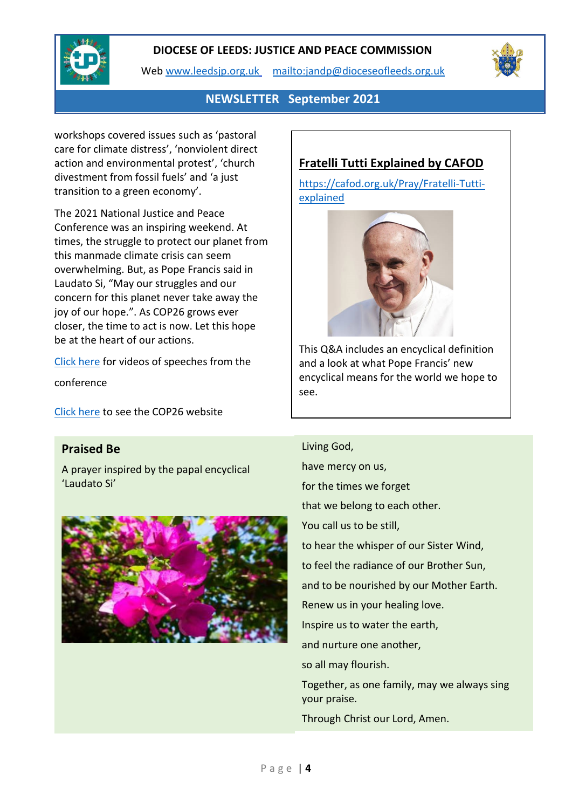

Web [www.leedsjp.org.uk](http://www.leedsjp.org.uk/) <mailto:jandp@dioceseofleeds.org.uk>



## **NEWSLETTER September 2021**

workshops covered issues such as 'pastoral care for climate distress', 'nonviolent direct action and environmental protest', 'church divestment from fossil fuels' and 'a just transition to a green economy'.

The 2021 National Justice and Peace Conference was an inspiring weekend. At times, the struggle to protect our planet from this manmade climate crisis can seem overwhelming. But, as Pope Francis said in Laudato Si, "May our struggles and our concern for this planet never take away the joy of our hope.". As COP26 grows ever closer, the time to act is now. Let this hope be at the heart of our actions.

[Click here](https://www.justice-and-peace.org.uk/conference/) for videos of speeches from the

conference

[Click here](https://ukcop26.org/) to see the COP26 website

## **Praised Be**

A prayer inspired by the papal encyclical 'Laudato Si'



## **Fratelli Tutti Explained by CAFOD**

[https://cafod.org.uk/Pray/Fratelli-Tutti](https://cafod.org.uk/Pray/Fratelli-Tutti-explained)[explained](https://cafod.org.uk/Pray/Fratelli-Tutti-explained)



This Q&A includes an encyclical definition and a look at what Pope Francis' new encyclical means for the world we hope to see.

Living God, have mercy on us, for the times we forget that we belong to each other. You call us to be still, to hear the whisper of our Sister Wind, to feel the radiance of our Brother Sun, and to be nourished by our Mother Earth. Renew us in your healing love. Inspire us to water the earth, and nurture one another, so all may flourish. Together, as one family, may we always sing your praise. Through Christ our Lord, Amen.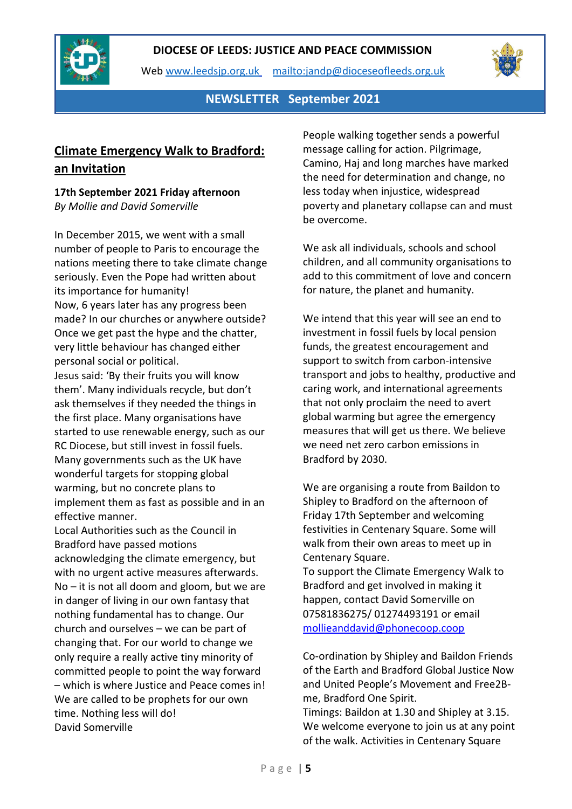

Web [www.leedsjp.org.uk](http://www.leedsjp.org.uk/) <mailto:jandp@dioceseofleeds.org.uk>



**NEWSLETTER September 2021**

## **Climate Emergency Walk to Bradford: an Invitation**

#### **17th September 2021 Friday afternoon** *By Mollie and David Somerville*

In December 2015, we went with a small number of people to Paris to encourage the nations meeting there to take climate change seriously. Even the Pope had written about its importance for humanity! Now, 6 years later has any progress been made? In our churches or anywhere outside? Once we get past the hype and the chatter, very little behaviour has changed either personal social or political.

Jesus said: 'By their fruits you will know them'. Many individuals recycle, but don't ask themselves if they needed the things in the first place. Many organisations have started to use renewable energy, such as our RC Diocese, but still invest in fossil fuels. Many governments such as the UK have wonderful targets for stopping global warming, but no concrete plans to implement them as fast as possible and in an effective manner.

Local Authorities such as the Council in Bradford have passed motions acknowledging the climate emergency, but with no urgent active measures afterwards. No – it is not all doom and gloom, but we are in danger of living in our own fantasy that nothing fundamental has to change. Our church and ourselves – we can be part of changing that. For our world to change we only require a really active tiny minority of committed people to point the way forward – which is where Justice and Peace comes in! We are called to be prophets for our own time. Nothing less will do! David Somerville

People walking together sends a powerful message calling for action. Pilgrimage, Camino, Haj and long marches have marked the need for determination and change, no less today when injustice, widespread poverty and planetary collapse can and must be overcome.

We ask all individuals, schools and school children, and all community organisations to add to this commitment of love and concern for nature, the planet and humanity.

We intend that this year will see an end to investment in fossil fuels by local pension funds, the greatest encouragement and support to switch from carbon-intensive transport and jobs to healthy, productive and caring work, and international agreements that not only proclaim the need to avert global warming but agree the emergency measures that will get us there. We believe we need net zero carbon emissions in Bradford by 2030.

We are organising a route from Baildon to Shipley to Bradford on the afternoon of Friday 17th September and welcoming festivities in Centenary Square. Some will walk from their own areas to meet up in Centenary Square.

To support the Climate Emergency Walk to Bradford and get involved in making it happen, contact David Somerville on 07581836275/ 01274493191 or email [mollieanddavid@phonecoop.coop](mailto:mollieanddavid@phonecoop.coop)

Co-ordination by Shipley and Baildon Friends of the Earth and Bradford Global Justice Now and United People's Movement and Free2Bme, Bradford One Spirit.

Timings: Baildon at 1.30 and Shipley at 3.15. We welcome everyone to join us at any point of the walk. Activities in Centenary Square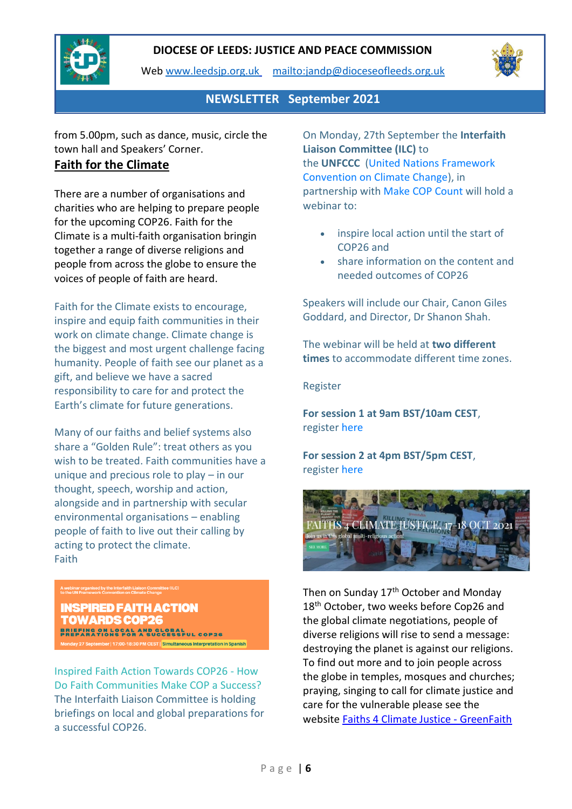

Web [www.leedsjp.org.uk](http://www.leedsjp.org.uk/) <mailto:jandp@dioceseofleeds.org.uk>



**NEWSLETTER September 2021**

from 5.00pm, such as dance, music, circle the town hall and Speakers' Corner.

## **Faith for the Climate**

There are a number of organisations and charities who are helping to prepare people for the upcoming COP26. Faith for the Climate is a multi-faith organisation bringin together a range of diverse religions and people from across the globe to ensure the voices of people of faith are heard.

Faith for the Climate exists to encourage, inspire and equip faith communities in their work on climate change. Climate change is the biggest and most urgent challenge facing humanity. People of faith see our planet as a gift, and believe we have a sacred responsibility to care for and protect the Earth's climate for future generations.

Many of our faiths and belief systems also share a "Golden Rule": treat others as you wish to be treated. Faith communities have a unique and precious role to play – in our thought, speech, worship and action, alongside and in partnership with secular environmental organisations – enabling people of faith to live out their calling by acting to protect the climate. Faith

A webinar organised by the Interfaith Liaison Committee<br>to the UN Framework Convention on Climate Change

**INSPIRED FAITH ACTION TOWARDS COP26** BRIEFING ON LOCAL AND GLOBAL<br>PREPARATIONS FOR A SUCCESSFUL COP26 September | 17:00-18:30 PM CEST | Simultaneous Interpretation in Spanish

Inspired Faith Action Towards COP26 - How Do Faith Communities Make COP a Success? The Interfaith Liaison Committee is holding briefings on local and global preparations for a successful COP26.

On Monday, 27th September the **Interfaith Liaison Committee (ILC)** to the **UNFCCC** [\(United Nations Framework](https://unfccc.int/)  [Convention on Climate Change\)](https://unfccc.int/), in partnership with [Make COP Count](https://makecopcount.org/) will hold a webinar to:

- inspire local action until the start of COP26 and
- share information on the content and needed outcomes of COP26

Speakers will include our Chair, Canon Giles Goddard, and Director, Dr Shanon Shah.

The webinar will be held at **two different times** to accommodate different time zones.

Register

**For session 1 at 9am BST/10am CEST**, register [here](https://lutheranworld-org.zoom.us/webinar/register/WN_ksoFzqyeTgizqD4ibusTqA)

**For session 2 at 4pm BST/5pm CEST**, register [here](https://lutheranworld-org.zoom.us/webinar/register/WN_Ufwmeaq3S5WSw28PH-1K8g)



Then on Sunday 17<sup>th</sup> October and Monday 18<sup>th</sup> October, two weeks before Cop26 and the global climate negotiations, people of diverse religions will rise to send a message: destroying the planet is against our religions. To find out more and to join people across the globe in temples, mosques and churches; praying, singing to call for climate justice and care for the vulnerable please see the website [Faiths 4 Climate Justice -](https://greenfaith.org/faiths4climatejustice/) GreenFaith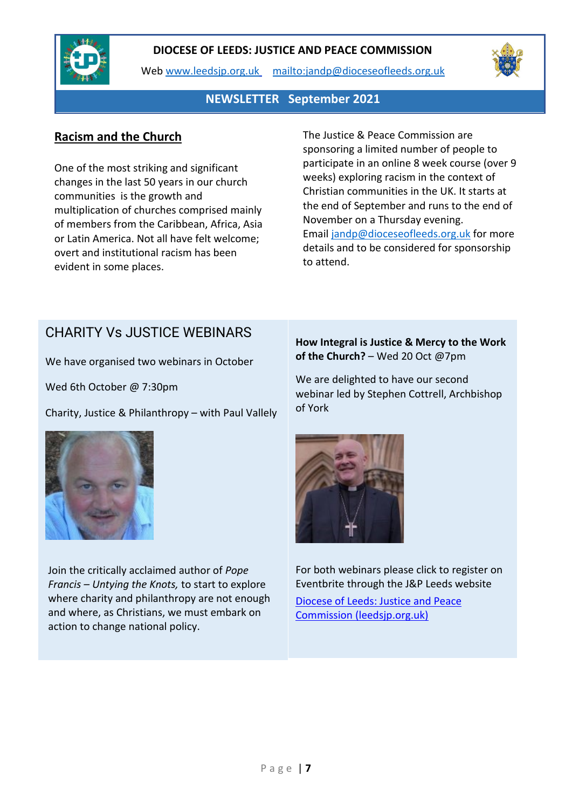

Web [www.leedsjp.org.uk](http://www.leedsjp.org.uk/) <mailto:jandp@dioceseofleeds.org.uk>



## **NEWSLETTER September 2021**

## **Racism and the Church**

One of the most striking and significant changes in the last 50 years in our church communities is the growth and multiplication of churches comprised mainly of members from the Caribbean, Africa, Asia or Latin America. Not all have felt welcome; overt and institutional racism has been evident in some places.

The Justice & Peace Commission are sponsoring a limited number of people to participate in an online 8 week course (over 9 weeks) exploring racism in the context of Christian communities in the UK. It starts at the end of September and runs to the end of November on a Thursday evening. Email [jandp@dioceseofleeds.org.uk](mailto:jandp@dioceseofleeds.org.uk) for more details and to be considered for sponsorship to attend.

## CHARITY Vs JUSTICE WEBINARS

We have organised two webinars in October

Wed 6th October @ 7:30pm

Charity, Justice & Philanthropy – with Paul Vallely



Join the critically acclaimed author of *Pope Francis – Untying the Knots,* to start to explore where charity and philanthropy are not enough and where, as Christians, we must embark on action to change national policy.

**How Integral is Justice & Mercy to the Work of the Church?** – Wed 20 Oct @7pm

We are delighted to have our second webinar led by Stephen Cottrell, Archbishop of York



For both webinars please click to register on Eventbrite through the J&P Leeds website

[Diocese of Leeds: Justice and Peace](https://www.leedsjp.org.uk/)  [Commission \(leedsjp.org.uk\)](https://www.leedsjp.org.uk/)